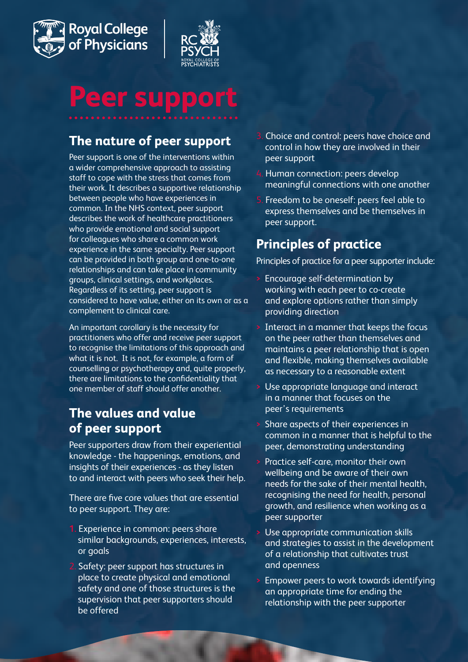



# **Peer support**

# **The nature of peer support**

Peer support is one of the interventions within a wider comprehensive approach to assisting staff to cope with the stress that comes from their work. It describes a supportive relationship between people who have experiences in common. In the NHS context, peer support describes the work of healthcare practitioners who provide emotional and social support for colleagues who share a common work experience in the same specialty. Peer support can be provided in both group and one-to-one relationships and can take place in community groups, clinical settings, and workplaces. Regardless of its setting, peer support is considered to have value, either on its own or as a complement to clinical care.

An important corollary is the necessity for practitioners who offer and receive peer support to recognise the limitations of this approach and what it is not. It is not, for example, a form of counselling or psychotherapy and, quite properly, there are limitations to the confidentiality that one member of staff should offer another.

## **The values and value of peer support**

Peer supporters draw from their experiential knowledge - the happenings, emotions, and insights of their experiences - as they listen to and interact with peers who seek their help.

There are five core values that are essential to peer support. They are:

- **1.** Experience in common: peers share similar backgrounds, experiences, interests, or goals
- 2. Safety: peer support has structures in place to create physical and emotional safety and one of those structures is the supervision that peer supporters should be offered
- 3. Choice and control: peers have choice and control in how they are involved in their peer support
- 4. Human connection: peers develop meaningful connections with one another
- 5. Freedom to be oneself: peers feel able to express themselves and be themselves in peer support.

## **Principles of practice**

Principles of practice for a peer supporter include:

- **>** Encourage self-determination by working with each peer to co-create and explore options rather than simply providing direction
- **>** Interact in a manner that keeps the focus on the peer rather than themselves and maintains a peer relationship that is open and flexible, making themselves available as necessary to a reasonable extent
- **>** Use appropriate language and interact in a manner that focuses on the peer's requirements
- **>** Share aspects of their experiences in common in a manner that is helpful to the peer, demonstrating understanding
- **>** Practice self-care, monitor their own wellbeing and be aware of their own needs for the sake of their mental health, recognising the need for health, personal growth, and resilience when working as a peer supporter
- **>** Use appropriate communication skills and strategies to assist in the development of a relationship that cultivates trust and openness
- **>** Empower peers to work towards identifying an appropriate time for ending the relationship with the peer supporter